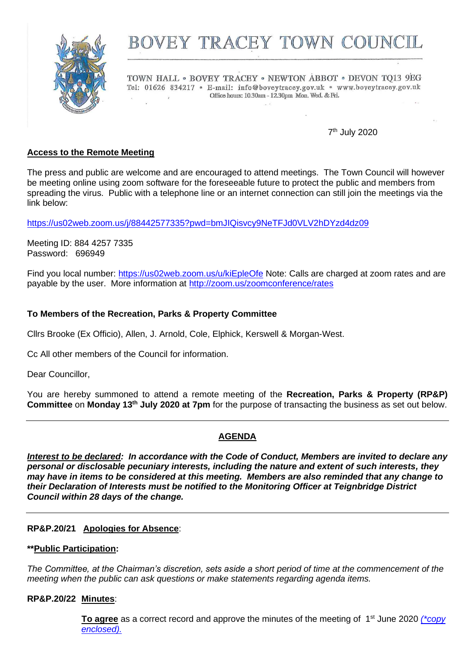

# BOVEY TRACEY TOWN COUNCIL

TOWN HALL . BOVEY TRACEY . NEWTON ABBOT . DEVON TO13 9EG Tel: 01626 834217 · E-mail: info@boveytracey.gov.uk · www.boveytracey.gov.uk Office hours: 10.30am - 12.30pm Mon. Wed. & Fri.  $\overline{z}$ 

7 th July 2020

# **Access to the Remote Meeting**

The press and public are welcome and are encouraged to attend meetings. The Town Council will however be meeting online using zoom software for the foreseeable future to protect the public and members from spreading the virus. Public with a telephone line or an internet connection can still join the meetings via the link below:

<https://us02web.zoom.us/j/88442577335?pwd=bmJIQisvcy9NeTFJd0VLV2hDYzd4dz09>

Meeting ID: 884 4257 7335 Password: 696949

Find you local number:<https://us02web.zoom.us/u/kiEpleOfe> Note: Calls are charged at zoom rates and are payable by the user. More information at<http://zoom.us/zoomconference/rates>

# **To Members of the Recreation, Parks & Property Committee**

Cllrs Brooke (Ex Officio), Allen, J. Arnold, Cole, Elphick, Kerswell & Morgan-West.

Cc All other members of the Council for information.

Dear Councillor,

You are hereby summoned to attend a remote meeting of the **Recreation, Parks & Property (RP&P) Committee** on **Monday 13th July 2020 at 7pm** for the purpose of transacting the business as set out below.

# **AGENDA**

*Interest to be declared: In accordance with the Code of Conduct, Members are invited to declare any personal or disclosable pecuniary interests, including the nature and extent of such interests, they may have in items to be considered at this meeting. Members are also reminded that any change to their Declaration of Interests must be notified to the Monitoring Officer at Teignbridge District Council within 28 days of the change.*

# **RP&P.20/21 Apologies for Absence**:

# **\*\*Public Participation:**

*The Committee, at the Chairman's discretion, sets aside a short period of time at the commencement of the meeting when the public can ask questions or make statements regarding agenda items.*

# **RP&P.20/22 Minutes**:

To agree as a correct record and approve the minutes of the meeting of 1<sup>st</sup> June 2020 *(\*copy [enclosed\).](https://www.dropbox.com/s/e55a9z6ins5izn6/13.07.20%20-%20RP%26P%20Mins%201.6.20.pdf?dl=0)*